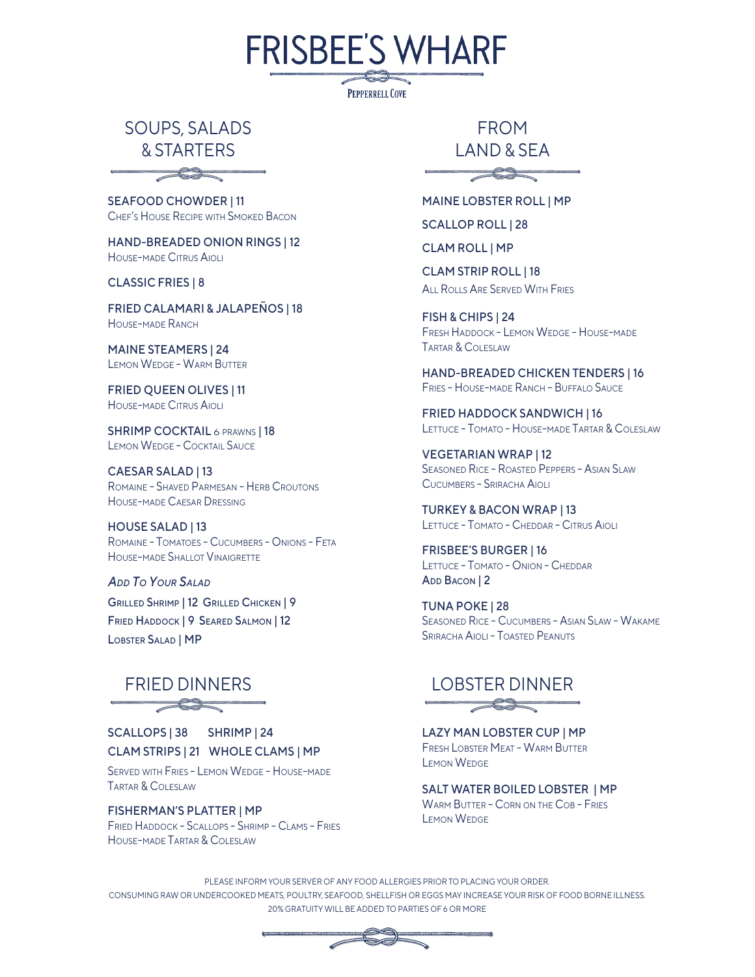SOUPS, SALADS & STARTERS

 $\overbrace{\phantom{aaaaa}}^{3}$ 

SEAFOOD CHOWDER | 11 CHEF'S HOUSE RECIPE WITH SMOKED BACON

HAND-BREADED ONION RINGS | 12 HOUSE-MADE CITRUS AIOLI

CLASSIC FRIES | 8

FRIED CALAMARI & JALAPEÑOS | 18 HOUSE-MADE RANCH

MAINE STEAMERS | 24 LEMON WEDGE - WARM BUTTER

FRIED QUEEN OLIVES | 11 HOUSE-MADE CITRUS AIOLI

SHRIMP COCKTAIL 6 PRAWNS | 18 LEMON WEDGE - COCKTAIL SAUCE

CAESAR SALAD | 13 ROMAINE - SHAVED PARMESAN - HERB CROUTONS HOUSE-MADE CAESAR DRESSING

HOUSE SALAD | 13 ROMAINE - TOMATOES - CUCUMBERS - ONIONS - FETA HOUSE-MADE SHALLOT VINAIGRETTE

GRILLED SHRIMP | 12 GRILLED CHICKEN | 9 FRIED HADDOCK | 9 SEARED SALMON | 12 LOBSTER SALAD | MP *ADD TO YOUR SALAD*

### $\overbrace{\phantom{aaaaa}}^{3}$

SCALLOPS | 38 SHRIMP | 24 CLAM STRIPS | 21 WHOLE CLAMS | MP

SERVED WITH FRIES - LEMON WEDGE - HOUSE-MADE TARTAR & COLESLAW

FISHERMAN'S PLATTER | MP FRIED HADDOCK - SCALLOPS - SHRIMP - CLAMS - FRIES HOUSE-MADE TARTAR & COLESLAW

FROM LAND & SEA

 $\implies$ 

MAINE LOBSTER ROLL | MP

SCALLOP ROLL | 28

CLAM ROLL | MP

**FRISBEE'S WHARF** 

**PEPPERRELL COVE** 

CLAM STRIP ROLL | 18 **ALL ROLLS ARE SERVED WITH FRIES** 

FISH & CHIPS | 24 FRESH HADDOCK - LEMON WEDGE - HOUSE-MADE TARTAR & COLESLAW

HAND-BREADED CHICKEN TENDERS | 16 FRIES - HOUSE-MADE RANCH - BUFFALO SAUCE

FRIED HADDOCK SANDWICH | 16 LETTUCE - TOMATO - HOUSE-MADE TARTAR & COLESLAW

VEGETARIAN WRAP | 12 SEASONED RICE - ROASTED PEPPERS - ASIAN SLAW CUCUMBERS - SRIRACHA AIOLI

TURKEY & BACON WRAP | 13 LETTUCE - TOMATO - CHEDDAR - CITRUS AIOLI

FRISBEE'S BURGER | 16 LETTUCE - TOMATO - ONION - CHEDDAR ADD BACON | 2

TUNA POKE | 28 SEASONED RICE - CUCUMBERS - ASIAN SLAW - WAKAME SRIRACHA AIOLI - TOASTED PEANUTS

#### FRIED DINNERS LOBSTER DINNER $\overbrace{\phantom{aaaaa}}^{3}$

LAZY MAN LOBSTER CUP | MP FRESH LOBSTER MEAT - WARM BUTTER LEMON WEDGE

SALT WATER BOILED LOBSTER | MP WARM BUTTER - CORN ON THE COB - FRIES LEMON WEDGE

PLEASE INFORM YOUR SERVER OF ANY FOOD ALLERGIES PRIOR TO PLACING YOUR ORDER. CONSUMING RAW OR UNDERCOOKED MEATS, POULTRY, SEAFOOD, SHELLFISH OR EGGS MAY INCREASE YOUR RISK OF FOOD BORNE ILLNESS. 20% GRATUITY WILL BE ADDED TO PARTIES OF 6 OR MORE